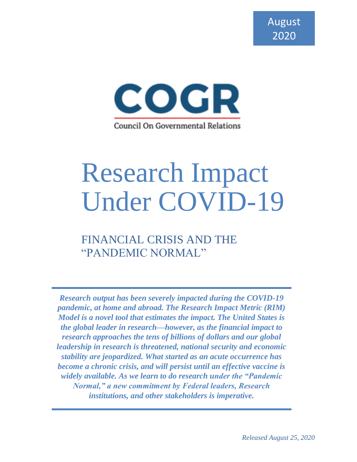

# Research Impact Under COVID-19

FINANCIAL CRISIS AND THE "PANDEMIC NORMAL"

*Research output has been severely impacted during the COVID-19 pandemic, at home and abroad. The Research Impact Metric (RIM) Model is a novel tool that estimates the impact. The United States is the global leader in research––however, as the financial impact to research approaches the tens of billions of dollars and our global leadership in research is threatened, national security and economic stability are jeopardized. What started as an acute occurrence has become a chronic crisis, and will persist until an effective vaccine is widely available. As we learn to do research under the "Pandemic Normal," a new commitment by Federal leaders, Research institutions, and other stakeholders is imperative.*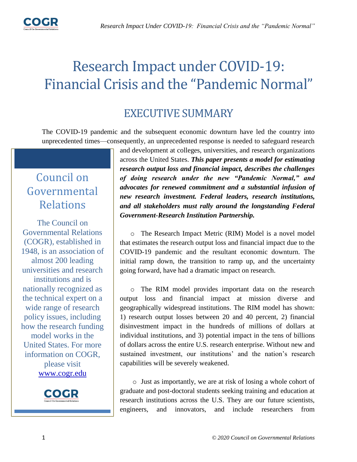

# Research Impact under COVID-19: Financial Crisis and the "Pandemic Normal"

# EXECUTIVE SUMMARY

The COVID-19 pandemic and the subsequent economic downturn have led the country into unprecedented times––consequently, an unprecedented response is needed to safeguard research

# Council on Governmental Relations

The Council on Governmental Relations (COGR), established in 1948, is an association of almost 200 leading universities and research institutions and is nationally recognized as the technical expert on a wide range of research policy issues, including how the research funding model works in the United States. For more information on COGR, please visit [www.cogr.edu](http://www.cogr.edu/)



and development at colleges, universities, and research organizations across the United States. *This paper presents a model for estimating research output loss and financial impact, describes the challenges of doing research under the new "Pandemic Normal," and advocates for renewed commitment and a substantial infusion of new research investment. Federal leaders, research institutions, and all stakeholders must rally around the longstanding Federal Government-Research Institution Partnership.*

o The Research Impact Metric (RIM) Model is a novel model that estimates the research output loss and financial impact due to the COVID-19 pandemic and the resultant economic downturn. The initial ramp down, the transition to ramp up, and the uncertainty going forward, have had a dramatic impact on research.

o The RIM model provides important data on the research output loss and financial impact at mission diverse and geographically widespread institutions. The RIM model has shown: 1) research output losses between 20 and 40 percent, 2) financial disinvestment impact in the hundreds of millions of dollars at individual institutions, and 3) potential impact in the tens of billions of dollars across the entire U.S. research enterprise. Without new and sustained investment, our institutions' and the nation's research capabilities will be severely weakened.

o Just as importantly, we are at risk of losing a whole cohort of graduate and post-doctoral students seeking training and education at research institutions across the U.S. They are our future scientists, engineers, and innovators, and include researchers from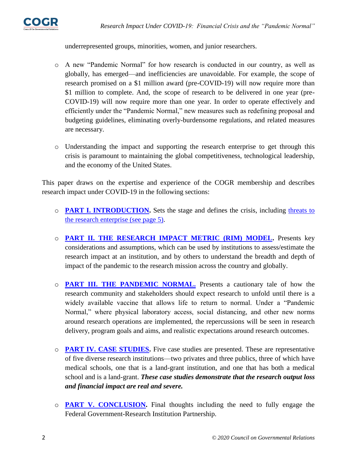

underrepresented groups, minorities, women, and junior researchers.

- o A new "Pandemic Normal" for how research is conducted in our country, as well as globally, has emerged––and inefficiencies are unavoidable. For example, the scope of research promised on a \$1 million award (pre-COVID-19) will now require more than \$1 million to complete. And, the scope of research to be delivered in one year (pre-COVID-19) will now require more than one year. In order to operate effectively and efficiently under the "Pandemic Normal," new measures such as redefining proposal and budgeting guidelines, eliminating overly-burdensome regulations, and related measures are necessary.
- o Understanding the impact and supporting the research enterprise to get through this crisis is paramount to maintaining the global competitiveness, technological leadership, and the economy of the United States.

This paper draws on the expertise and experience of the COGR membership and describes research impact under COVID-19 in the following sections:

- o **[PART I. INTRODUCTION.](#page-3-0)** Sets the stage and defines the crisis, including [threats to](#page-4-0)  [the research enterprise \(see page 5\).](#page-4-0)
- o **[PART II. THE RESEARCH IMPACT METRIC \(RIM\) MODEL.](#page-5-0)** Presents key considerations and assumptions, which can be used by institutions to assess/estimate the research impact at an institution, and by others to understand the breadth and depth of impact of the pandemic to the research mission across the country and globally.
- o **[PART III. THE PANDEMIC NORMAL.](#page-10-0)** Presents a cautionary tale of how the research community and stakeholders should expect research to unfold until there is a widely available vaccine that allows life to return to normal. Under a "Pandemic Normal," where physical laboratory access, social distancing, and other new norms around research operations are implemented, the repercussions will be seen in research delivery, program goals and aims, and realistic expectations around research outcomes.
- o **[PART IV. CASE STUDIES.](#page-14-0)** Five case studies are presented. These are representative of five diverse research institutions––two privates and three publics, three of which have medical schools, one that is a land-grant institution, and one that has both a medical school and is a land-grant. *These case studies demonstrate that the research output loss and financial impact are real and severe.*
- o **[PART V. CONCLUSION.](#page-15-0)** Final thoughts including the need to fully engage the Federal Government-Research Institution Partnership.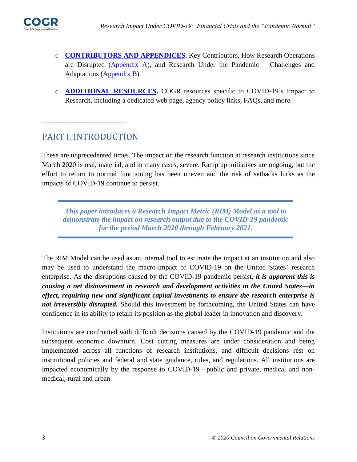

- o **[CONTRIBUTORS AND APPENDICES.](#page-17-0)** Key Contributors, How Research Operations are Disrupted [\(Appendix A\)](#page-19-0), and Research Under the Pandemic – Challenges and Adaptations [\(Appendix B\)](#page-21-0).
- <span id="page-3-0"></span>o **ADDITIONAL RESOURCES.** COGR resources specific to COVID-19's Impact to Research, including a dedicated web page, agency policy links, FAQs, and more.

# PART I. INTRODUCTION

**\_\_\_\_\_\_\_\_\_\_\_\_\_\_\_\_\_\_\_\_\_\_\_\_**

These are unprecedented times. The impact on the research function at research institutions since March 2020 is real, material, and in many cases, severe. Ramp up initiatives are ongoing, but the effort to return to normal functioning has been uneven and the risk of setbacks lurks as the impacts of COVID-19 continue to persist.

*This paper introduces a Research Impact Metric (RIM) Model as a tool to demonstrate the impact on research output due to the COVID-19 pandemic for the period March 2020 through February 2021.*

The RIM Model can be used as an internal tool to estimate the impact at an institution and also may be used to understand the macro-impact of COVID-19 on the United States' research enterprise. As the disruptions caused by the COVID-19 pandemic persist, *it is apparent this is causing a net disinvestment in research and development activities in the United States––in effect, requiring new and significant capital investments to ensure the research enterprise is not irreversibly disrupted*. Should this investment be forthcoming, the United States can have confidence in its ability to retain its position as the global leader in innovation and discovery.

Institutions are confronted with difficult decisions caused by the COVID-19 pandemic and the subsequent economic downturn. Cost cutting measures are under consideration and being implemented across all functions of research institutions, and difficult decisions rest on institutional policies and federal and state guidance, rules, and regulations. All institutions are impacted economically by the response to COVID-19––public and private, medical and nonmedical, rural and urban.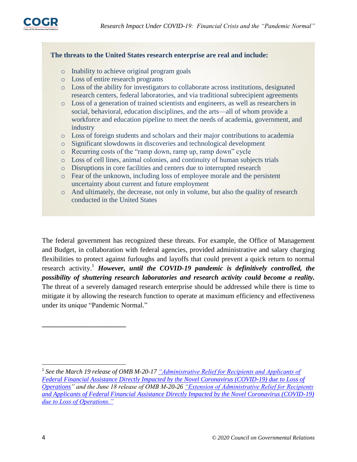

#### **The threats to the United States research enterprise are real and include:**

- <span id="page-4-0"></span>o Inability to achieve original program goals
- o Loss of entire research programs
- o Loss of the ability for investigators to collaborate across institutions, designated research centers, federal laboratories, and via traditional subrecipient agreements
- o Loss of a generation of trained scientists and engineers, as well as researchers in social, behavioral, education disciplines, and the arts—all of whom provide a workforce and education pipeline to meet the needs of academia, government, and industry
- o Loss of foreign students and scholars and their major contributions to academia
- o Significant slowdowns in discoveries and technological development
- o Recurring costs of the "ramp down, ramp up, ramp down" cycle
- o Loss of cell lines, animal colonies, and continuity of human subjects trials
- o Disruptions in core facilities and centers due to interrupted research
- o Fear of the unknown, including loss of employee morale and the persistent uncertainty about current and future employment
- o And ultimately, the decrease, not only in volume, but also the quality of research conducted in the United States

The federal government has recognized these threats. For example, the Office of Management and Budget, in collaboration with federal agencies, provided administrative and salary charging flexibilities to protect against furloughs and layoffs that could prevent a quick return to normal research activity. <sup>1</sup> *However, until the COVID-19 pandemic is definitively controlled, the possibility of shuttering research laboratories and research activity could become a reality.* The threat of a severely damaged research enterprise should be addressed while there is time to mitigate it by allowing the research function to operate at maximum efficiency and effectiveness under its unique "Pandemic Normal."

l

**\_\_\_\_\_\_\_\_\_\_\_\_\_\_\_\_\_\_\_\_\_\_\_\_**

<sup>&</sup>lt;sup>1</sup> See the March 19 release of OMB M-20-17 <u>"Administrative Relief for Recipients and Applicants of</u> *[Federal Financial Assistance Directly Impacted by the Novel Coronavirus \(COVID-19\) due to Loss of](https://www.whitehouse.gov/wp-content/uploads/2020/03/M-20-17.pdf)  [Operations"](https://www.whitehouse.gov/wp-content/uploads/2020/03/M-20-17.pdf) and the June 18 release of OMB M-20-2[6 "Extension of Administrative Relief for Recipients](https://www.whitehouse.gov/wp-content/uploads/2020/06/M-20-26.pdf)  [and Applicants of Federal Financial Assistance Directly Impacted by the Novel Coronavirus \(COVID-19\)](https://www.whitehouse.gov/wp-content/uploads/2020/06/M-20-26.pdf)  [due to Loss of Operations."](https://www.whitehouse.gov/wp-content/uploads/2020/06/M-20-26.pdf)*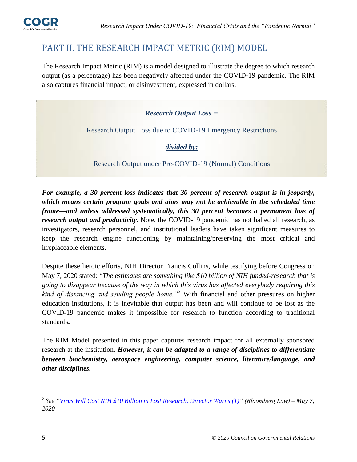

# PART II. THE RESEARCH IMPACT METRIC (RIM) MODEL

The Research Impact Metric (RIM) is a model designed to illustrate the degree to which research output (as a percentage) has been negatively affected under the COVID-19 pandemic. The RIM also captures financial impact, or disinvestment, expressed in dollars.

<span id="page-5-0"></span>*Research Output Loss =*

Research Output Loss due to COVID-19 Emergency Restrictions

*divided by:*

Research Output under Pre-COVID-19 (Normal) Conditions

*For example, a 30 percent loss indicates that 30 percent of research output is in jeopardy, which means certain program goals and aims may not be achievable in the scheduled time frame––and unless addressed systematically, this 30 percent becomes a permanent loss of research output and productivity.* Note, the COVID-19 pandemic has not halted all research, as investigators, research personnel, and institutional leaders have taken significant measures to keep the research engine functioning by maintaining/preserving the most critical and irreplaceable elements.

Despite these heroic efforts, NIH Director Francis Collins, while testifying before Congress on May 7, 2020 stated: "*The estimates are something like \$10 billion of NIH funded-research that is going to disappear because of the way in which this virus has affected everybody requiring this kind of distancing and sending people home."<sup>2</sup>* With financial and other pressures on higher education institutions, it is inevitable that output has been and will continue to be lost as the COVID-19 pandemic makes it impossible for research to function according to traditional standards*.*

The RIM Model presented in this paper captures research impact for all externally sponsored research at the institution. *However, it can be adapted to a range of disciplines to differentiate between biochemistry, aerospace engineering, computer science, literature/language, and other disciplines.*

 $\overline{a}$ 2 *See ["Virus Will Cost NIH \\$10 Billion in Lost Research, Director Warns \(1\)"](https://news.bloomberglaw.com/pharma-and-life-sciences/virus-will-cost-nih-10-billion-in-lost-research-director-warns) (Bloomberg Law) – May 7, 2020*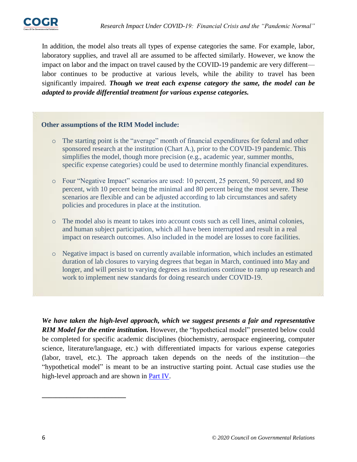

In addition, the model also treats all types of expense categories the same. For example, labor, laboratory supplies, and travel all are assumed to be affected similarly. However, we know the impact on labor and the impact on travel caused by the COVID-19 pandemic are very different labor continues to be productive at various levels, while the ability to travel has been significantly impaired. *Though we treat each expense category the same, the model can be adapted to provide differential treatment for various expense categories.*

#### **Other assumptions of the RIM Model include:**

- o The starting point is the "average" month of financial expenditures for federal and other sponsored research at the institution (Chart A.), prior to the COVID-19 pandemic. This simplifies the model, though more precision (e.g., academic year, summer months, specific expense categories) could be used to determine monthly financial expenditures.
- o Four "Negative Impact" scenarios are used: 10 percent, 25 percent, 50 percent, and 80 percent, with 10 percent being the minimal and 80 percent being the most severe. These scenarios are flexible and can be adjusted according to lab circumstances and safety policies and procedures in place at the institution.
- o The model also is meant to takes into account costs such as cell lines, animal colonies, and human subject participation, which all have been interrupted and result in a real impact on research outcomes. Also included in the model are losses to core facilities.
- o Negative impact is based on currently available information, which includes an estimated duration of lab closures to varying degrees that began in March, continued into May and longer, and will persist to varying degrees as institutions continue to ramp up research and work to implement new standards for doing research under COVID-19.

*We have taken the high-level approach, which we suggest presents a fair and representative RIM Model for the entire institution.* However, the "hypothetical model" presented below could be completed for specific academic disciplines (biochemistry, aerospace engineering, computer science, literature/language, etc.) with differentiated impacts for various expense categories (labor, travel, etc.). The approach taken depends on the needs of the institution––the "hypothetical model" is meant to be an instructive starting point. Actual case studies use the high-level approach and are shown in [Part IV.](#page-14-0)

**\_\_\_\_\_\_\_\_\_\_\_\_\_\_\_\_\_\_\_\_\_\_\_\_**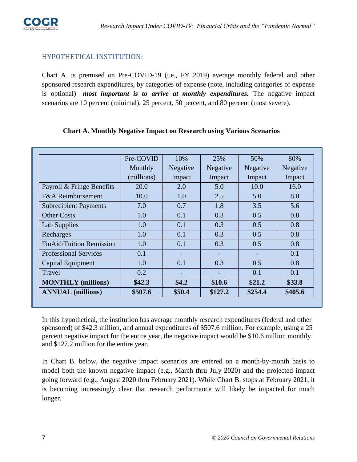#### HYPOTHETICAL INSTITUTION:

Chart A. is premised on Pre-COVID-19 (i.e., FY 2019) average monthly federal and other sponsored research expenditures, by categories of expense (note, including categories of expense is optional)—*most important is to arrive at monthly expenditures*. The negative impact scenarios are 10 percent (minimal), 25 percent, 50 percent, and 80 percent (most severe).

| <b>ANNUAL</b> (millions)        | \$507.6    | \$50.4   | \$127.2                      | \$254.4                  | \$405.6  |
|---------------------------------|------------|----------|------------------------------|--------------------------|----------|
| <b>MONTHLY</b> (millions)       | \$42.3\$   | \$4.2    | \$10.6                       | \$21.2                   | \$33.8\$ |
| Travel                          | 0.2        |          |                              | 0.1                      | 0.1      |
| Capital Equipment               | 1.0        | 0.1      | 0.3                          | 0.5                      | 0.8      |
| <b>Professional Services</b>    | 0.1        |          | $\qquad \qquad \blacksquare$ | $\overline{\phantom{0}}$ | 0.1      |
| <b>FinAid/Tuition Remission</b> | 1.0        | 0.1      | 0.3                          | 0.5                      | 0.8      |
| Recharges                       | 1.0        | 0.1      | 0.3                          | 0.5                      | 0.8      |
| <b>Lab Supplies</b>             | 1.0        | 0.1      | 0.3                          | 0.5                      | 0.8      |
| <b>Other Costs</b>              | 1.0        | 0.1      | 0.3                          | 0.5                      | 0.8      |
| <b>Subrecipient Payments</b>    | 7.0        | 0.7      | 1.8                          | 3.5                      | 5.6      |
| <b>F&amp;A Reimbursement</b>    | 10.0       | 1.0      | 2.5                          | 5.0                      | 8.0      |
| Payroll & Fringe Benefits       | 20.0       | 2.0      | 5.0                          | 10.0                     | 16.0     |
|                                 | (millions) | Impact   | Impact                       | Impact                   | Impact   |
|                                 | Monthly    | Negative | Negative                     | Negative                 | Negative |
|                                 | Pre-COVID  | 10%      | 25%                          | 50%                      | 80%      |

#### **Chart A. Monthly Negative Impact on Research using Various Scenarios**

In this hypothetical, the institution has average monthly research expenditures (federal and other sponsored) of \$42.3 million, and annual expenditures of \$507.6 million. For example, using a 25 percent negative impact for the entire year, the negative impact would be \$10.6 million monthly and \$127.2 million for the entire year.

In Chart B. below, the negative impact scenarios are entered on a month-by-month basis to model both the known negative impact (e.g., March thru July 2020) and the projected impact going forward (e.g., August 2020 thru February 2021). While Chart B. stops at February 2021, it is becoming increasingly clear that research performance will likely be impacted for much longer.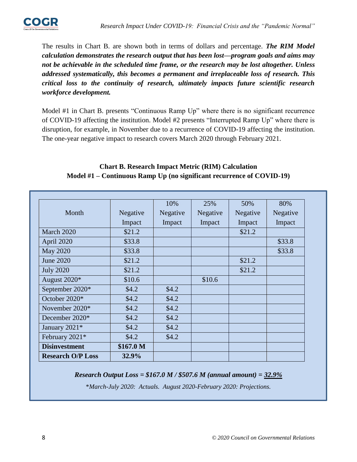

The results in Chart B. are shown both in terms of dollars and percentage. *The RIM Model calculation demonstrates the research output that has been lost––program goals and aims may not be achievable in the scheduled time frame, or the research may be lost altogether. Unless addressed systematically, this becomes a permanent and irreplaceable loss of research. This critical loss to the continuity of research, ultimately impacts future scientific research workforce development.*

Model #1 in Chart B. presents "Continuous Ramp Up" where there is no significant recurrence of COVID-19 affecting the institution. Model #2 presents "Interrupted Ramp Up" where there is disruption, for example, in November due to a recurrence of COVID-19 affecting the institution. The one-year negative impact to research covers March 2020 through February 2021.

#### **Chart B. Research Impact Metric (RIM) Calculation Model #1 – Continuous Ramp Up (no significant recurrence of COVID-19)**

| <b>Research O/P Loss</b> | 32.9%     |          |          |          |          |
|--------------------------|-----------|----------|----------|----------|----------|
| <b>Disinvestment</b>     | \$167.0 M |          |          |          |          |
| February 2021*           | \$4.2     | \$4.2\$  |          |          |          |
| January 2021*            | \$4.2     | \$4.2\$  |          |          |          |
| December $2020*$         | \$4.2     | \$4.2\$  |          |          |          |
| November $2020*$         | \$4.2     | \$4.2\$  |          |          |          |
| October 2020*            | \$4.2     | \$4.2\$  |          |          |          |
| September 2020*          | \$4.2     | \$4.2\$  |          |          |          |
| August 2020*             | \$10.6    |          | \$10.6   |          |          |
| <b>July 2020</b>         | \$21.2    |          |          | \$21.2   |          |
| June 2020                | \$21.2    |          |          | \$21.2   |          |
| May 2020                 | \$33.8    |          |          |          | \$33.8   |
| April 2020               | \$33.8    |          |          |          | \$33.8   |
| March 2020               | \$21.2    |          |          | \$21.2   |          |
|                          | Impact    | Impact   | Impact   | Impact   | Impact   |
| Month                    | Negative  | Negative | Negative | Negative | Negative |
|                          |           | 10%      | 25%      | 50%      | 80%      |

*Research Output Loss = \$167.0 M / \$507.6 M (annual amount) = 32.9%*

\**March-July 2020: Actuals. August 2020-February 2020: Projections.*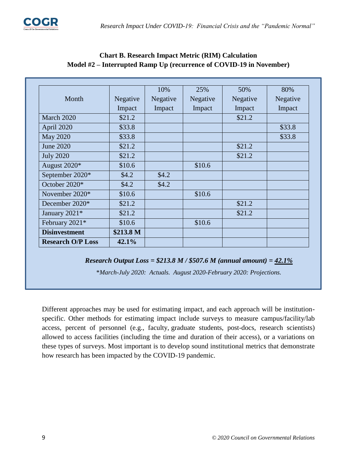|                          |           | 10%      | 25%      | 50%      | 80%      |
|--------------------------|-----------|----------|----------|----------|----------|
| Month                    | Negative  | Negative | Negative | Negative | Negative |
|                          | Impact    | Impact   | Impact   | Impact   | Impact   |
| March 2020               | \$21.2    |          |          | \$21.2   |          |
| April 2020               | \$33.8    |          |          |          | \$33.8   |
| <b>May 2020</b>          | \$33.8    |          |          |          | \$33.8   |
| <b>June 2020</b>         | \$21.2    |          |          | \$21.2   |          |
| <b>July 2020</b>         | \$21.2    |          |          | \$21.2   |          |
| August 2020*             | \$10.6    |          | \$10.6   |          |          |
| September 2020*          | \$4.2\$   | \$4.2\$  |          |          |          |
| October 2020*            | \$4.2\$   | \$4.2    |          |          |          |
| November 2020*           | \$10.6    |          | \$10.6   |          |          |
| December 2020*           | \$21.2    |          |          | \$21.2   |          |
| January 2021*            | \$21.2    |          |          | \$21.2   |          |
| February 2021*           | \$10.6    |          | \$10.6   |          |          |
| <b>Disinvestment</b>     | \$213.8 M |          |          |          |          |
| <b>Research O/P Loss</b> | 42.1%     |          |          |          |          |

#### **Chart B. Research Impact Metric (RIM) Calculation Model #2 – Interrupted Ramp Up (recurrence of COVID-19 in November)**

#### *Research Output Loss = \$213.8 M / \$507.6 M (annual amount) = 42.1%*

\**March-July 2020: Actuals. August 2020-February 2020: Projections.*

Different approaches may be used for estimating impact, and each approach will be institutionspecific. Other methods for estimating impact include surveys to measure campus/facility/lab access, percent of personnel (e.g., faculty, graduate students, post-docs, research scientists) allowed to access facilities (including the time and duration of their access), or a variations on these types of surveys. Most important is to develop sound institutional metrics that demonstrate how research has been impacted by the COVID-19 pandemic.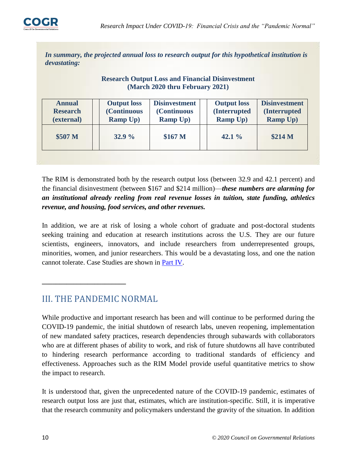

*In summary, the projected annual loss to research output for this hypothetical institution is devastating:*

#### **Research Output Loss and Financial Disinvestment (March 2020 thru February 2021)**

| \$507 <sub>M</sub><br>\$167 <sub>M</sub><br>\$214 M<br>32.9%<br>42.1% | <b>Annual</b><br><b>Research</b><br>(external) | <b>Output loss</b><br>(Continuous<br><b>Ramp Up)</b> | <b>Disinvestment</b><br>(Continuous<br><b>Ramp Up)</b> | <b>Output loss</b><br>(Interrupted<br><b>Ramp Up)</b> | <b>Disinvestment</b><br><b>(Interrupted)</b><br><b>Ramp Up)</b> |
|-----------------------------------------------------------------------|------------------------------------------------|------------------------------------------------------|--------------------------------------------------------|-------------------------------------------------------|-----------------------------------------------------------------|
|                                                                       |                                                |                                                      |                                                        |                                                       |                                                                 |

The RIM is demonstrated both by the research output loss (between 32.9 and 42.1 percent) and the financial disinvestment (between \$167 and \$214 million)––*these numbers are alarming for an institutional already reeling from real revenue losses in tuition, state funding, athletics revenue, and housing, food services, and other revenues.*

In addition, we are at risk of losing a whole cohort of graduate and post-doctoral students seeking training and education at research institutions across the U.S. They are our future scientists, engineers, innovators, and include researchers from underrepresented groups, minorities, women, and junior researchers. This would be a devastating loss, and one the nation cannot tolerate. Case Studies are shown in [Part IV.](#page-14-0)

# III. THE PANDEMIC NORMAL

<span id="page-10-0"></span>**\_\_\_\_\_\_\_\_\_\_\_\_\_\_\_\_\_\_\_\_\_\_\_\_**

While productive and important research has been and will continue to be performed during the COVID-19 pandemic, the initial shutdown of research labs, uneven reopening, implementation of new mandated safety practices, research dependencies through subawards with collaborators who are at different phases of ability to work, and risk of future shutdowns all have contributed to hindering research performance according to traditional standards of efficiency and effectiveness. Approaches such as the RIM Model provide useful quantitative metrics to show the impact to research.

It is understood that, given the unprecedented nature of the COVID-19 pandemic, estimates of research output loss are just that, estimates, which are institution-specific. Still, it is imperative that the research community and policymakers understand the gravity of the situation. In addition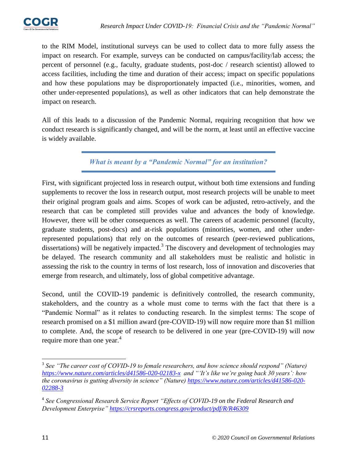

to the RIM Model, institutional surveys can be used to collect data to more fully assess the impact on research. For example, surveys can be conducted on campus/facility/lab access; the percent of personnel (e.g., faculty, graduate students, post-doc / research scientist) allowed to access facilities, including the time and duration of their access; impact on specific populations and how these populations may be disproportionately impacted (i.e., minorities, women, and other under-represented populations), as well as other indicators that can help demonstrate the impact on research.

All of this leads to a discussion of the Pandemic Normal, requiring recognition that how we conduct research is significantly changed, and will be the norm, at least until an effective vaccine is widely available.

*What is meant by a "Pandemic Normal" for an institution?*

First, with significant projected loss in research output, without both time extensions and funding supplements to recover the loss in research output, most research projects will be unable to meet their original program goals and aims. Scopes of work can be adjusted, retro-actively, and the research that can be completed still provides value and advances the body of knowledge. However, there will be other consequences as well. The careers of academic personnel (faculty, graduate students, post-docs) and at-risk populations (minorities, women, and other underrepresented populations) that rely on the outcomes of research (peer-reviewed publications, dissertations) will be negatively impacted.<sup>3</sup> The discovery and development of technologies may be delayed. The research community and all stakeholders must be realistic and holistic in assessing the risk to the country in terms of lost research, loss of innovation and discoveries that emerge from research, and ultimately, loss of global competitive advantage.

Second, until the COVID-19 pandemic is definitively controlled, the research community, stakeholders, and the country as a whole must come to terms with the fact that there is a "Pandemic Normal" as it relates to conducting research. In the simplest terms: The scope of research promised on a \$1 million award (pre-COVID-19) will now require more than \$1 million to complete. And, the scope of research to be delivered in one year (pre-COVID-19) will now require more than one year.<sup>4</sup>

 $\overline{\phantom{a}}$ 

<sup>&</sup>lt;sup>3</sup> See "The career cost of COVID-19 to female researchers, and how science should respond" (Nature) *<https://www.nature.com/articles/d41586-020-02183-x>and "'It's like we're going back 30 years': how the coronavirus is gutting diversity in science" (Nature) [https://www.nature.com/articles/d41586-020-](https://www.nature.com/articles/d41586-020-02288-3) [02288-3](https://www.nature.com/articles/d41586-020-02288-3)*

<sup>4</sup> *See Congressional Research Service Report "Effects of COVID-19 on the Federal Research and Development Enterprise"<https://crsreports.congress.gov/product/pdf/R/R46309>*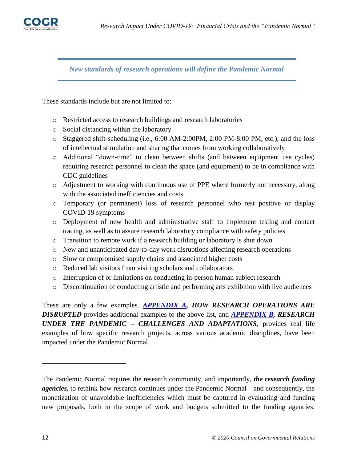

*New standards of research operations will define the Pandemic Normal*

These standards include but are not limited to:

- o Restricted access to research buildings and research laboratories
- o Social distancing within the laboratory
- $\circ$  Staggered shift-scheduling (i.e., 6:00 AM-2:00PM, 2:00 PM-8:00 PM, etc.), and the loss of intellectual stimulation and sharing that comes from working collaboratively
- o Additional "down-time" to clean between shifts (and between equipment use cycles) requiring research personnel to clean the space (and equipment) to be in compliance with CDC guidelines
- o Adjustment to working with continuous use of PPE where formerly not necessary, along with the associated inefficiencies and costs
- o Temporary (or permanent) loss of research personnel who test positive or display COVID-19 symptoms
- o Deployment of new health and administrative staff to implement testing and contact tracing, as well as to assure research laboratory compliance with safety policies
- o Transition to remote work if a research building or laboratory is shut down
- o New and unanticipated day-to-day work disruptions affecting research operations
- o Slow or compromised supply chains and associated higher costs
- o Reduced lab visitors from visiting scholars and collaborators
- o Interruption of or limitations on conducting in-person human subject research
- o Discontinuation of conducting artistic and performing arts exhibition with live audiences

These are only a few examples. *[APPENDIX A,](#page-19-0) HOW RESEARCH OPERATIONS ARE DISRUPTED* provides additional examples to the above list, and *[APPENDIX B,](#page-21-0) RESEARCH UNDER THE PANDEMIC – CHALLENGES AND ADAPTATIONS,* provides real life examples of how specific research projects, across various academic disciplines, have been impacted under the Pandemic Normal.

**\_\_\_\_\_\_\_\_\_\_\_\_\_\_\_\_\_\_\_\_\_\_\_\_**

The Pandemic Normal requires the research community, and importantly, *the research funding agencies,* to rethink how research continues under the Pandemic Normal––and consequently, the monetization of unavoidable inefficiencies which must be captured in evaluating and funding new proposals, both in the scope of work and budgets submitted to the funding agencies.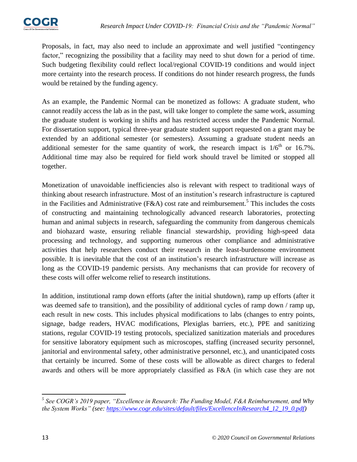Proposals, in fact, may also need to include an approximate and well justified "contingency factor," recognizing the possibility that a facility may need to shut down for a period of time. Such budgeting flexibility could reflect local/regional COVID-19 conditions and would inject more certainty into the research process. If conditions do not hinder research progress, the funds would be retained by the funding agency.

As an example, the Pandemic Normal can be monetized as follows: A graduate student, who cannot readily access the lab as in the past, will take longer to complete the same work, assuming the graduate student is working in shifts and has restricted access under the Pandemic Normal. For dissertation support, typical three-year graduate student support requested on a grant may be extended by an additional semester (or semesters). Assuming a graduate student needs an additional semester for the same quantity of work, the research impact is  $1/6<sup>th</sup>$  or 16.7%. Additional time may also be required for field work should travel be limited or stopped all together.

Monetization of unavoidable inefficiencies also is relevant with respect to traditional ways of thinking about research infrastructure. Most of an institution's research infrastructure is captured in the Facilities and Administrative (F&A) cost rate and reimbursement.<sup>5</sup> This includes the costs of constructing and maintaining technologically advanced research laboratories, protecting human and animal subjects in research, safeguarding the community from dangerous chemicals and biohazard waste, ensuring reliable financial stewardship, providing high-speed data processing and technology, and supporting numerous other compliance and administrative activities that help researchers conduct their research in the least-burdensome environment possible. It is inevitable that the cost of an institution's research infrastructure will increase as long as the COVID-19 pandemic persists. Any mechanisms that can provide for recovery of these costs will offer welcome relief to research institutions.

In addition, institutional ramp down efforts (after the initial shutdown), ramp up efforts (after it was deemed safe to transition), and the possibility of additional cycles of ramp down / ramp up, each result in new costs. This includes physical modifications to labs (changes to entry points, signage, badge readers, HVAC modifications, Plexiglas barriers, etc.), PPE and sanitizing stations, regular COVID-19 testing protocols, specialized sanitization materials and procedures for sensitive laboratory equipment such as microscopes, staffing (increased security personnel, janitorial and environmental safety, other administrative personnel, etc.), and unanticipated costs that certainly be incurred. Some of these costs will be allowable as direct charges to federal awards and others will be more appropriately classified as F&A (in which case they are not

 $\overline{\phantom{a}}$ 

*<sup>5</sup> See COGR's 2019 paper, "Excellence in Research: The Funding Model, F&A Reimbursement, and Why the System Works" (see: [https://www.cogr.edu/sites/default/files/ExcellenceInResearch4\\_12\\_19\\_0.pdf\)](https://www.cogr.edu/sites/default/files/ExcellenceInResearch4_12_19_0.pdf)*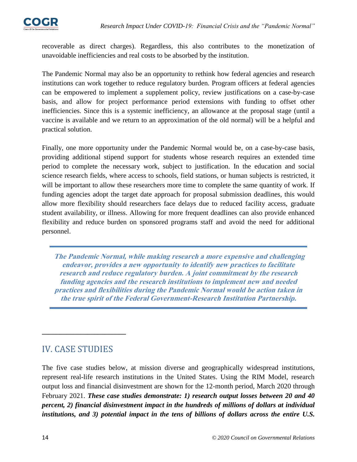

recoverable as direct charges). Regardless, this also contributes to the monetization of unavoidable inefficiencies and real costs to be absorbed by the institution.

The Pandemic Normal may also be an opportunity to rethink how federal agencies and research institutions can work together to reduce regulatory burden. Program officers at federal agencies can be empowered to implement a supplement policy, review justifications on a case-by-case basis, and allow for project performance period extensions with funding to offset other inefficiencies. Since this is a systemic inefficiency, an allowance at the proposal stage (until a vaccine is available and we return to an approximation of the old normal) will be a helpful and practical solution.

Finally, one more opportunity under the Pandemic Normal would be, on a case-by-case basis, providing additional stipend support for students whose research requires an extended time period to complete the necessary work, subject to justification. In the education and social science research fields, where access to schools, field stations, or human subjects is restricted, it will be important to allow these researchers more time to complete the same quantity of work. If funding agencies adopt the target date approach for proposal submission deadlines, this would allow more flexibility should researchers face delays due to reduced facility access, graduate student availability, or illness. Allowing for more frequent deadlines can also provide enhanced flexibility and reduce burden on sponsored programs staff and avoid the need for additional personnel.

**The Pandemic Normal, while making research a more expensive and challenging endeavor, provides a new opportunity to identify new practices to facilitate research and reduce regulatory burden. A joint commitment by the research funding agencies and the research institutions to implement new and needed practices and flexibilities during the Pandemic Normal would be action taken in the true spirit of the Federal Government-Research Institution Partnership.**

# IV. CASE STUDIES

<span id="page-14-0"></span>**\_\_\_\_\_\_\_\_\_\_\_\_\_\_\_\_\_\_\_\_\_\_\_\_**

The five case studies below, at mission diverse and geographically widespread institutions, represent real-life research institutions in the United States. Using the RIM Model, research output loss and financial disinvestment are shown for the 12-month period, March 2020 through February 2021. *These case studies demonstrate: 1) research output losses between 20 and 40 percent, 2) financial disinvestment impact in the hundreds of millions of dollars at individual institutions, and 3) potential impact in the tens of billions of dollars across the entire U.S.*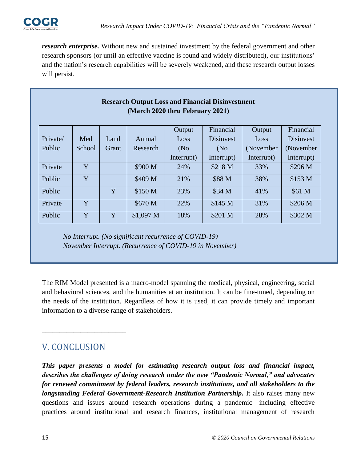

*research enterprise.* Without new and sustained investment by the federal government and other research sponsors (or until an effective vaccine is found and widely distributed), our institutions' and the nation's research capabilities will be severely weakened, and these research output losses will persist.

| <b>Research Output Loss and Financial Disinvestment</b><br>(March 2020 thru February 2021) |        |       |            |            |                   |            |                    |  |
|--------------------------------------------------------------------------------------------|--------|-------|------------|------------|-------------------|------------|--------------------|--|
|                                                                                            |        |       |            | Output     | Financial         | Output     | Financial          |  |
| Private/                                                                                   | Med    | Land  | Annual     | Loss       | <b>Disinvest</b>  | Loss       | <b>Disinvest</b>   |  |
| Public                                                                                     | School | Grant | Research   | (No)       | (N <sub>0</sub> ) | (November) | (November)         |  |
|                                                                                            |        |       |            | Interrupt) | Interrupt)        | Interrupt) | Interrupt)         |  |
| Private                                                                                    | Y      |       | \$900 M    | 24%        | \$218 M           | 33%        | \$296 M            |  |
| Public                                                                                     | Y      |       | \$409 M    | 21%        | \$88 M            | 38%        | \$153 M            |  |
| Public                                                                                     |        | Y     | \$150 M    | 23%        | \$34 M            | 41%        | \$61 M             |  |
| Private                                                                                    | Y      |       | \$670 M    | 22%        | \$145 M           | 31%        | \$206 <sub>M</sub> |  |
| Public                                                                                     | Y      | Y     | $$1,097$ M | 18%        | \$201 M           | 28%        | \$302 M            |  |

*No Interrupt. (No significant recurrence of COVID-19) November Interrupt. (Recurrence of COVID-19 in November)*

The RIM Model presented is a macro-model spanning the medical, physical, engineering, social and behavioral sciences, and the humanities at an institution. It can be fine-tuned, depending on the needs of the institution. Regardless of how it is used, it can provide timely and important information to a diverse range of stakeholders.

# V. CONCLUSION

<span id="page-15-0"></span>**\_\_\_\_\_\_\_\_\_\_\_\_\_\_\_\_\_\_\_\_\_\_\_\_**

*This paper presents a model for estimating research output loss and financial impact, describes the challenges of doing research under the new "Pandemic Normal," and advocates for renewed commitment by federal leaders, research institutions, and all stakeholders to the longstanding Federal Government-Research Institution Partnership.* It also raises many new questions and issues around research operations during a pandemic––including effective practices around institutional and research finances, institutional management of research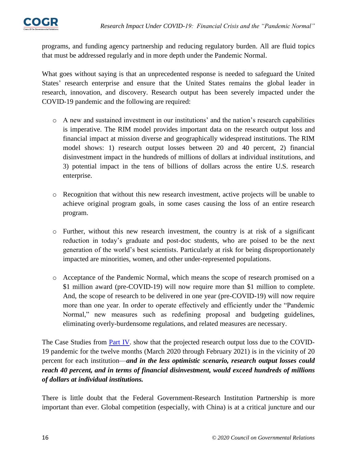

programs, and funding agency partnership and reducing regulatory burden. All are fluid topics that must be addressed regularly and in more depth under the Pandemic Normal.

What goes without saying is that an unprecedented response is needed to safeguard the United States' research enterprise and ensure that the United States remains the global leader in research, innovation, and discovery. Research output has been severely impacted under the COVID-19 pandemic and the following are required:

- o A new and sustained investment in our institutions' and the nation's research capabilities is imperative. The RIM model provides important data on the research output loss and financial impact at mission diverse and geographically widespread institutions. The RIM model shows: 1) research output losses between 20 and 40 percent, 2) financial disinvestment impact in the hundreds of millions of dollars at individual institutions, and 3) potential impact in the tens of billions of dollars across the entire U.S. research enterprise.
- o Recognition that without this new research investment, active projects will be unable to achieve original program goals, in some cases causing the loss of an entire research program.
- o Further, without this new research investment, the country is at risk of a significant reduction in today's graduate and post-doc students, who are poised to be the next generation of the world's best scientists. Particularly at risk for being disproportionately impacted are minorities, women, and other under-represented populations.
- o Acceptance of the Pandemic Normal, which means the scope of research promised on a \$1 million award (pre-COVID-19) will now require more than \$1 million to complete. And, the scope of research to be delivered in one year (pre-COVID-19) will now require more than one year. In order to operate effectively and efficiently under the "Pandemic Normal," new measures such as redefining proposal and budgeting guidelines, eliminating overly-burdensome regulations, and related measures are necessary.

The Case Studies from **Part IV**. show that the projected research output loss due to the COVID-19 pandemic for the twelve months (March 2020 through February 2021) is in the vicinity of 20 percent for each institution––*and in the less optimistic scenario, research output losses could reach 40 percent, and in terms of financial disinvestment, would exceed hundreds of millions of dollars at individual institutions.*

There is little doubt that the Federal Government-Research Institution Partnership is more important than ever. Global competition (especially, with China) is at a critical juncture and our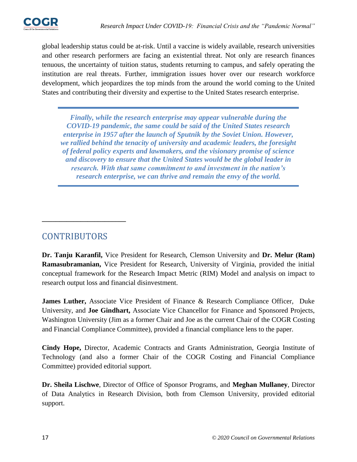

global leadership status could be at-risk. Until a vaccine is widely available, research universities and other research performers are facing an existential threat. Not only are research finances tenuous, the uncertainty of tuition status, students returning to campus, and safely operating the institution are real threats. Further, immigration issues hover over our research workforce development, which jeopardizes the top minds from the around the world coming to the United States and contributing their diversity and expertise to the United States research enterprise.

*Finally, while the research enterprise may appear vulnerable during the COVID-19 pandemic, the same could be said of the United States research enterprise in 1957 after the launch of Sputnik by the Soviet Union. However, we rallied behind the tenacity of university and academic leaders, the foresight of federal policy experts and lawmakers, and the visionary promise of science and discovery to ensure that the United States would be the global leader in research. With that same commitment to and investment in the nation's research enterprise, we can thrive and remain the envy of the world.*

# CONTRIBUTORS

<span id="page-17-0"></span>**\_\_\_\_\_\_\_\_\_\_\_\_\_\_\_\_\_\_\_\_\_\_\_\_**

**Dr. Tanju Karanfil,** Vice President for Research, Clemson University and **Dr. Melur (Ram) Ramasubramanian,** Vice President for Research, University of Virginia, provided the initial conceptual framework for the Research Impact Metric (RIM) Model and analysis on impact to research output loss and financial disinvestment.

**James Luther,** Associate Vice President of Finance & Research Compliance Officer, Duke University, and **Joe Gindhart,** Associate Vice Chancellor for Finance and Sponsored Projects, Washington University (Jim as a former Chair and Joe as the current Chair of the COGR Costing and Financial Compliance Committee), provided a financial compliance lens to the paper.

**Cindy Hope,** Director, Academic Contracts and Grants Administration, Georgia Institute of Technology (and also a former Chair of the COGR Costing and Financial Compliance Committee) provided editorial support.

**Dr. Sheila Lischwe**, Director of Office of Sponsor Programs, and **Meghan Mullaney**, Director of Data Analytics in Research Division, both from Clemson University, provided editorial support.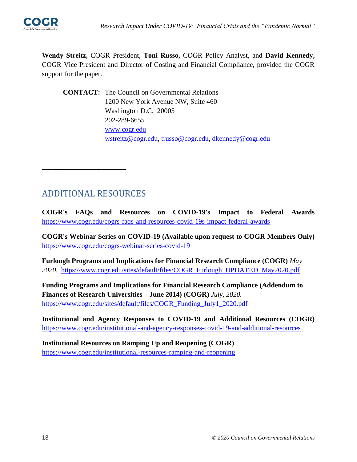

**Wendy Streitz,** COGR President, **Toni Russo,** COGR Policy Analyst, and **David Kennedy,** COGR Vice President and Director of Costing and Financial Compliance, provided the COGR support for the paper.

**CONTACT:** The Council on Governmental Relations 1200 New York Avenue NW, Suite 460 Washington D.C. 20005 202-289-6655 [www.cogr.edu](http://www.cogr.edu/) [wstreitz@cogr.edu,](mailto:wstreitz@cogr.edu) [trusso@cogr.edu,](mailto:trusso@cogr.edu) [dkennedy@cogr.edu](mailto:dkennedy@cogr.edu)

## ADDITIONAL RESOURCES

**\_\_\_\_\_\_\_\_\_\_\_\_\_\_\_\_\_\_\_\_\_\_\_\_**

**COGR's FAQs and Resources on COVID-19's Impact to Federal Awards** <https://www.cogr.edu/cogrs-faqs-and-resources-covid-19s-impact-federal-awards>

**COGR's Webinar Series on COVID-19 (Available upon request to COGR Members Only)**  <https://www.cogr.edu/cogrs-webinar-series-covid-19>

**Furlough Programs and Implications for Financial Research Compliance (COGR)** *May 2020.* [https://www.cogr.edu/sites/default/files/COGR\\_Furlough\\_UPDATED\\_May2020.pdf](https://www.cogr.edu/sites/default/files/COGR_Furlough_UPDATED_May2020.pdf)

**Funding Programs and Implications for Financial Research Compliance (Addendum to Finances of Research Universities – June 2014) (COGR)** *July, 2020.* [https://www.cogr.edu/sites/default/files/COGR\\_Funding\\_July1\\_2020.pdf](https://www.cogr.edu/sites/default/files/COGR_Funding_July1_2020.pdf)

**Institutional and Agency Responses to COVID-19 and Additional Resources (COGR)** <https://www.cogr.edu/institutional-and-agency-responses-covid-19-and-additional-resources>

**Institutional Resources on Ramping Up and Reopening (COGR)** <https://www.cogr.edu/institutional-resources-ramping-and-reopening>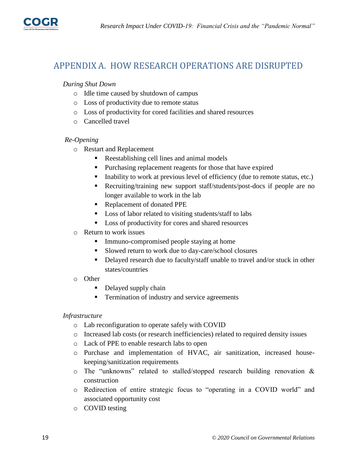

## <span id="page-19-0"></span>APPENDIX A. HOW RESEARCH OPERATIONS ARE DISRUPTED

#### *During Shut Down*

- o Idle time caused by shutdown of campus
- o Loss of productivity due to remote status
- o Loss of productivity for cored facilities and shared resources
- o Cancelled travel

#### *Re-Opening*

- o Restart and Replacement
	- Reestablishing cell lines and animal models
	- **Purchasing replacement reagents for those that have expired**
	- Inability to work at previous level of efficiency (due to remote status, etc.)
	- Recruiting/training new support staff/students/post-docs if people are no longer available to work in the lab
	- Replacement of donated PPE
	- Loss of labor related to visiting students/staff to labs
	- **Loss of productivity for cores and shared resources**
- o Return to work issues
	- Immuno-compromised people staying at home
	- **Slowed return to work due to day-care/school closures**
	- Delayed research due to faculty/staff unable to travel and/or stuck in other states/countries
- o Other
	- Delayed supply chain
	- **Termination of industry and service agreements**

#### *Infrastructure*

- o Lab reconfiguration to operate safely with COVID
- o Increased lab costs (or research inefficiencies) related to required density issues
- o Lack of PPE to enable research labs to open
- o Purchase and implementation of HVAC, air sanitization, increased housekeeping/sanitization requirements
- o The "unknowns" related to stalled/stopped research building renovation & construction
- o Redirection of entire strategic focus to "operating in a COVID world" and associated opportunity cost
- o COVID testing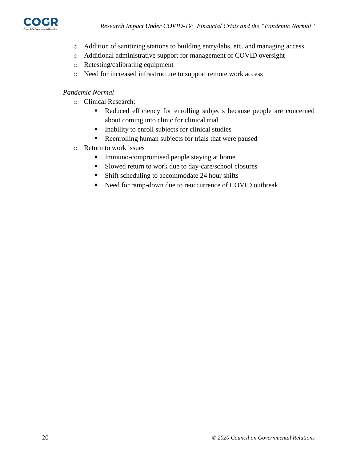

- o Addition of sanitizing stations to building entry/labs, etc. and managing access
- o Additional administrative support for management of COVID oversight
- o Retesting/calibrating equipment
- o Need for increased infrastructure to support remote work access

#### *Pandemic Normal*

- o Clinical Research:
	- Reduced efficiency for enrolling subjects because people are concerned about coming into clinic for clinical trial
	- Inability to enroll subjects for clinical studies
	- Reenrolling human subjects for trials that were paused
- o Return to work issues
	- **Immuno-compromised people staying at home**
	- Slowed return to work due to day-care/school closures
	- Shift scheduling to accommodate 24 hour shifts
	- Need for ramp-down due to reoccurrence of COVID outbreak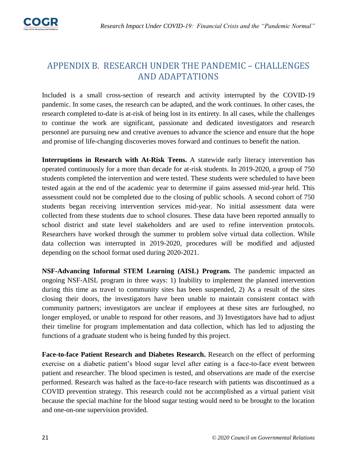

# <span id="page-21-0"></span>APPENDIX B. RESEARCH UNDER THE PANDEMIC – CHALLENGES AND ADAPTATIONS

Included is a small cross-section of research and activity interrupted by the COVID-19 pandemic. In some cases, the research can be adapted, and the work continues. In other cases, the research completed to-date is at-risk of being lost in its entirety. In all cases, while the challenges to continue the work are significant, passionate and dedicated investigators and research personnel are pursuing new and creative avenues to advance the science and ensure that the hope and promise of life-changing discoveries moves forward and continues to benefit the nation.

**Interruptions in Research with At-Risk Teens.** A statewide early literacy intervention has operated continuously for a more than decade for at-risk students. In 2019-2020, a group of 750 students completed the intervention and were tested. These students were scheduled to have been tested again at the end of the academic year to determine if gains assessed mid-year held. This assessment could not be completed due to the closing of public schools. A second cohort of 750 students began receiving intervention services mid-year. No initial assessment data were collected from these students due to school closures. These data have been reported annually to school district and state level stakeholders and are used to refine intervention protocols. Researchers have worked through the summer to problem solve virtual data collection. While data collection was interrupted in 2019-2020, procedures will be modified and adjusted depending on the school format used during 2020-2021.

**NSF-Advancing Informal STEM Learning (AISL) Program.** The pandemic impacted an ongoing NSF-AISL program in three ways: 1) Inability to implement the planned intervention during this time as travel to community sites has been suspended, 2) As a result of the sites closing their doors, the investigators have been unable to maintain consistent contact with community partners; investigators are unclear if employees at these sites are furloughed, no longer employed, or unable to respond for other reasons, and 3) Investigators have had to adjust their timeline for program implementation and data collection, which has led to adjusting the functions of a graduate student who is being funded by this project.

**Face-to-face Patient Research and Diabetes Research.** Research on the effect of performing exercise on a diabetic patient's blood sugar level after eating is a face-to-face event between patient and researcher. The blood specimen is tested, and observations are made of the exercise performed. Research was halted as the face-to-face research with patients was discontinued as a COVID prevention strategy. This research could not be accomplished as a virtual patient visit because the special machine for the blood sugar testing would need to be brought to the location and one-on-one supervision provided.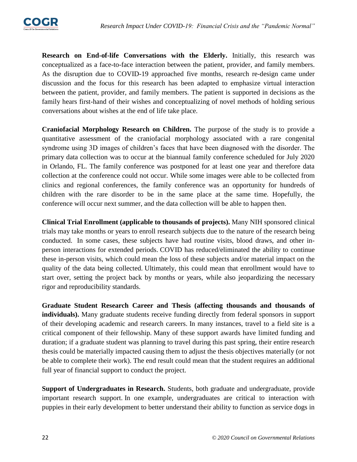

**Research on End-of-life Conversations with the Elderly.** Initially, this research was conceptualized as a face-to-face interaction between the patient, provider, and family members. As the disruption due to COVID-19 approached five months, research re-design came under discussion and the focus for this research has been adapted to emphasize virtual interaction between the patient, provider, and family members. The patient is supported in decisions as the family hears first-hand of their wishes and conceptualizing of novel methods of holding serious conversations about wishes at the end of life take place.

**Craniofacial Morphology Research on Children.** The purpose of the study is to provide a quantitative assessment of the craniofacial morphology associated with a rare congenital syndrome using 3D images of children's faces that have been diagnosed with the disorder. The primary data collection was to occur at the biannual family conference scheduled for July 2020 in Orlando, FL. The family conference was postponed for at least one year and therefore data collection at the conference could not occur. While some images were able to be collected from clinics and regional conferences, the family conference was an opportunity for hundreds of children with the rare disorder to be in the same place at the same time. Hopefully, the conference will occur next summer, and the data collection will be able to happen then.

**Clinical Trial Enrollment (applicable to thousands of projects).** Many NIH sponsored clinical trials may take months or years to enroll research subjects due to the nature of the research being conducted. In some cases, these subjects have had routine visits, blood draws, and other inperson interactions for extended periods. COVID has reduced/eliminated the ability to continue these in-person visits, which could mean the loss of these subjects and/or material impact on the quality of the data being collected. Ultimately, this could mean that enrollment would have to start over, setting the project back by months or years, while also jeopardizing the necessary rigor and reproducibility standards.

**Graduate Student Research Career and Thesis (affecting thousands and thousands of individuals).** Many graduate students receive funding directly from federal sponsors in support of their developing academic and research careers. In many instances, travel to a field site is a critical component of their fellowship. Many of these support awards have limited funding and duration; if a graduate student was planning to travel during this past spring, their entire research thesis could be materially impacted causing them to adjust the thesis objectives materially (or not be able to complete their work). The end result could mean that the student requires an additional full year of financial support to conduct the project.

**Support of Undergraduates in Research.** Students, both graduate and undergraduate, provide important research support. In one example, undergraduates are critical to interaction with puppies in their early development to better understand their ability to function as service dogs in